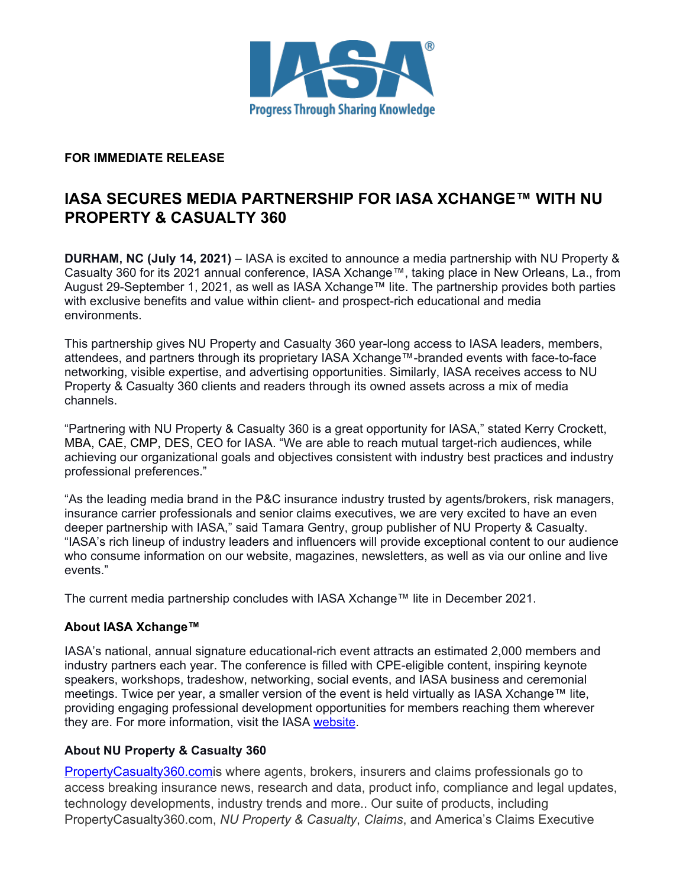

#### **FOR IMMEDIATE RELEASE**

# **IASA SECURES MEDIA PARTNERSHIP FOR IASA XCHANGE™ WITH NU PROPERTY & CASUALTY 360**

**DURHAM, NC (July 14, 2021)** – IASA is excited to announce a media partnership with NU Property & Casualty 360 for its 2021 annual conference, IASA Xchange™, taking place in New Orleans, La., from August 29-September 1, 2021, as well as IASA Xchange™ lite. The partnership provides both parties with exclusive benefits and value within client- and prospect-rich educational and media environments.

This partnership gives NU Property and Casualty 360 year-long access to IASA leaders, members, attendees, and partners through its proprietary IASA Xchange™-branded events with face-to-face networking, visible expertise, and advertising opportunities. Similarly, IASA receives access to NU Property & Casualty 360 clients and readers through its owned assets across a mix of media channels.

"Partnering with NU Property & Casualty 360 is a great opportunity for IASA," stated Kerry Crockett, MBA, CAE, CMP, DES, CEO for IASA. "We are able to reach mutual target-rich audiences, while achieving our organizational goals and objectives consistent with industry best practices and industry professional preferences."

"As the leading media brand in the P&C insurance industry trusted by agents/brokers, risk managers, insurance carrier professionals and senior claims executives, we are very excited to have an even deeper partnership with IASA," said Tamara Gentry, group publisher of NU Property & Casualty. "IASA's rich lineup of industry leaders and influencers will provide exceptional content to our audience who consume information on our website, magazines, newsletters, as well as via our online and live events."

The current media partnership concludes with IASA Xchange™ lite in December 2021.

## **About IASA Xchange™**

IASA's national, annual signature educational-rich event attracts an estimated 2,000 members and industry partners each year. The conference is filled with CPE-eligible content, inspiring keynote speakers, workshops, tradeshow, networking, social events, and IASA business and ceremonial meetings. Twice per year, a smaller version of the event is held virtually as IASA Xchange™ lite, providing engaging professional development opportunities for members reaching them wherever they are. For more information, visit the IASA [website.](http://iasa.org/)

## **About NU Property & Casualty 360**

[PropertyCasualty360.comi](https://www.propertycasualty360.com/)s where agents, brokers, insurers and claims professionals go to access breaking insurance news, research and data, product info, compliance and legal updates, technology developments, industry trends and more.. Our suite of products, including PropertyCasualty360.com, *NU Property & Casualty*, *Claims*, and America's Claims Executive